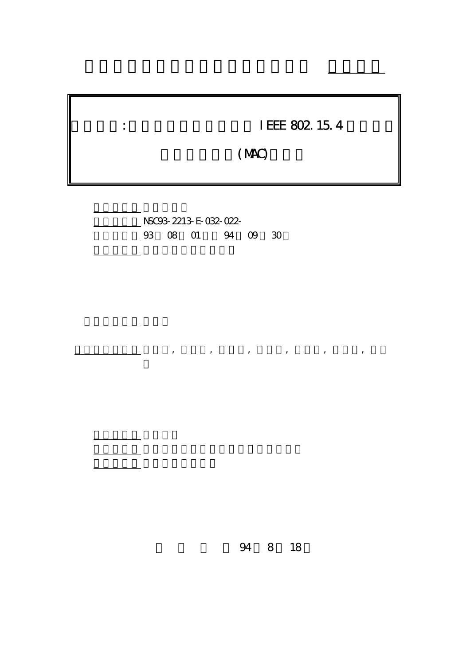| I EEE 802 15.4 |
|----------------|
| (MAC)          |

 $\frac{1}{\sqrt{2}}$  ,  $\frac{1}{\sqrt{2}}$  ,  $\frac{1}{\sqrt{2}}$  ,  $\frac{1}{\sqrt{2}}$  ,  $\frac{1}{\sqrt{2}}$  ,  $\frac{1}{\sqrt{2}}$  ,  $\frac{1}{\sqrt{2}}$  ,  $\frac{1}{\sqrt{2}}$  ,  $\frac{1}{\sqrt{2}}$  ,  $\frac{1}{\sqrt{2}}$  ,  $\frac{1}{\sqrt{2}}$  ,  $\frac{1}{\sqrt{2}}$  ,  $\frac{1}{\sqrt{2}}$  ,  $\frac{1}{\sqrt{2}}$  ,  $\frac{1}{\sqrt{2}}$ 

行政院國家科學委員會專題研究計畫 成果報告

計畫編號: NSC93-2213-E-032-022- 03 08 01 94 09 30

報告附件: 出席國際會議研究心得報告及發表論文

執行單位: 淡江大學電機工程學系

計畫主持人: 許獻聰

報告類型: 精簡報告

。<br>在前書 : 本計畫可公開查

8 18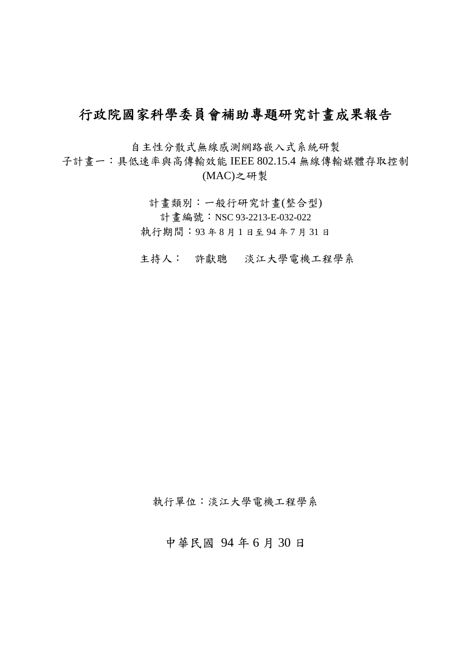# 行政院國家科學委員會補助專題研究計畫成果報告

自主性分散式無線感測網路嵌入式系統研製

子計畫一:具低速率與高傳輸效能 IEEE 802.15.4 無線傳輸媒體存取控制 (MAC)之研製

> 計畫類別:一般行研究計畫(整合型) 計畫編號:NSC 93-2213-E-032-022 執行期間:93 年 8 月 1 日至 94 年 7 月 31 日

主持人: 許獻聰 淡江大學電機工程學系

執行單位:淡江大學電機工程學系

## 中華民國 94 年 6 月 30 日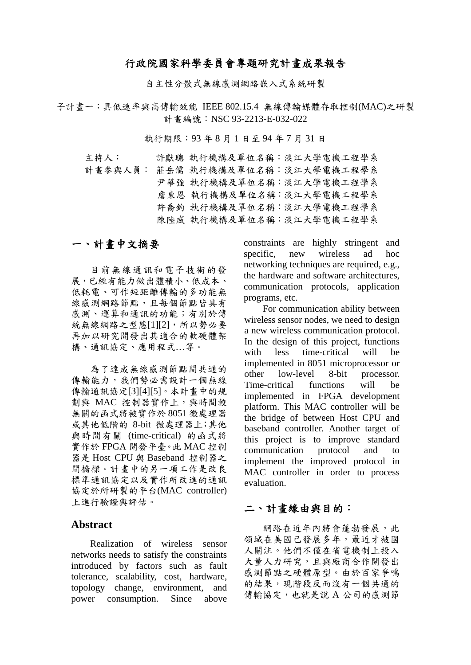### 行政院國家科學委員會專題研究計畫成果報告

自主性分散式無線感測網路嵌入式系統研製

子計畫一:具低速率與高傳輸效能 IEEE 802.15.4 無線傳輸媒體存取控制(MAC)之研製 計畫編號:NSC 93-2213-E-032-022

執行期限:93 年 8 月 1 日至 94 年 7 月 31 日

 主持人: 許獻聰 執行機構及單位名稱:淡江大學電機工程學系 計書參與人員: 莊岳儒 執行機構及單位名稱:淡江大學電機工程學系 尹華強 執行機構及單位名稱:淡江大學電機工程學系 詹東恩 執行機構及單位名稱:淡江大學電機工程學系 許喬鈞 執行機構及單位名稱:淡江大學電機工程學系 陳陸威 執行機構及單位名稱:淡江大學電機工程學系

## 一、計畫中文摘要

目前無線通訊和電子技術的發 展,已經有能力做出體積小、低成本、 低耗電、可作短距離傳輸的多功能無 線感測網路節點,且每個節點皆具有 感測、運算和通訊的功能;有別於傳 統無線網路之型態[1][2],所以勢必要 再加以研究開發出其適合的軟硬體架 構、通訊協定、應用程式…等。

為了達成無線感測節點間共通的 傳輸能力,我們勢必需設計一個無線 傳輸通訊協定[3][4][5]。本計畫中的規 劃與 MAC 控制器實作上,與時間較 無關的函式將被實作於 8051 微處理器 或其他低階的 8-bit 微處理器上;其他 與時間有關 (time-critical) 的函式將 實作於 FPGA 開發平臺。此 MAC 控制 器是 Host CPU 與 Baseband 控制器之 間橋樑。計畫中的另一項工作是改良 標準通訊協定以及實作所改進的通訊 協定於所研製的平台(MAC controller) 上進行驗證與評估。

#### **Abstract**

Realization of wireless sensor networks needs to satisfy the constraints introduced by factors such as fault tolerance, scalability, cost, hardware, topology change, environment, and power consumption. Since above constraints are highly stringent and specific, new wireless ad hoc networking techniques are required, e.g., the hardware and software architectures, communication protocols, application programs, etc.

For communication ability between wireless sensor nodes, we need to design a new wireless communication protocol. In the design of this project, functions with less time-critical will be implemented in 8051 microprocessor or other low-level 8-bit processor. Time-critical functions will be implemented in FPGA development platform. This MAC controller will be the bridge of between Host CPU and baseband controller. Another target of this project is to improve standard communication protocol and to implement the improved protocol in MAC controller in order to process evaluation.

#### 二、計畫緣由與目的:

網路在近年內將會蓬勃發展,此 領域在美國已發展多年,最近才被國 人關注。他們不僅在省電機制上投入 大量人力研究,且與廠商合作開發出 感測節點之硬體原型。由於百家爭鳴 的結果,現階段反而沒有一個共通的 傳輸協定,也就是說 A 公司的感測節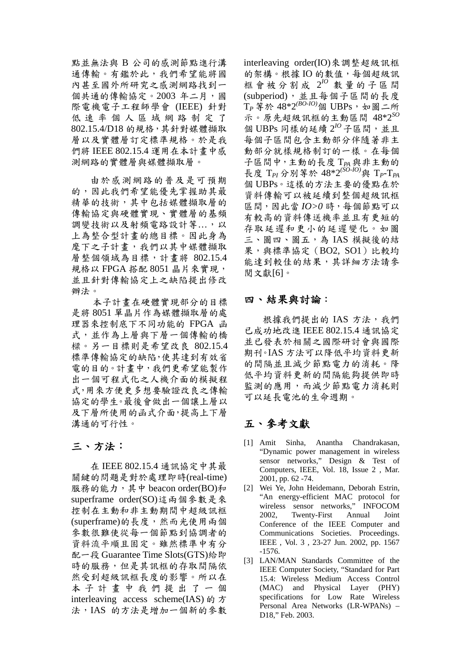點並無法與 B 公司的感測節點進行溝 通傳輸。有鑑於此,我們希望能將國 內甚至國外所研究之感測網路找到一 個共通的傳輸協定。2003年二月,國 際電機電子工程師學會 (IEEE) 針對 低速率個人區域網路制定了 802.15.4/D18 的規格,其針對媒體擷取 層以及實體層訂定標準規格。於是我 們將 IEEE 802.15.4 運用在本計畫中感 測網路的實體層與媒體擷取層。

由於感測網路的普及是可預期 的,因此我們希望能優先掌握助其最 精華的技術,其中包括媒體擷取層的 傳輸協定與硬體實現、實體層的基頻 調變技術以及射頻電路設計等...,以 上為整合型計畫的總目標。因此身為 麼下之子計書,我們以其中媒體擷取 層整個領域為目標,計畫將 802.15.4 規格以 FPGA 搭配 8051 晶片來實現, 並且針對傳輸協定上之缺陷提出修改 辦法。

本子計畫在硬體實現部分的目標 是將 8051 單晶片作為媒體擷取層的處 理器來控制底下不同功能的 FPGA 函 式,並作為上層與下層一個傳輸的橋 樑。另一目標則是希望改良 802.15.4 標準傳輸協定的缺陷,使其達到有效省 電的目的。計畫中,我們更希望能製作 出一個可程式化之人機介面的模擬程 式,用來方便更多想要驗證改良之傳輸 協定的學生。最後會做出一個讓上層以 及下層所使用的函式介面,提高上下層 溝通的可行性。

#### 三、方法:

在 IEEE 802.15.4 通訊協定中其最 關鍵的問題是對於處理即時(real-time) 服務的能力,其中 beacon order(BO)和 superframe order(SO)這兩個參數是來 控制在主動和非主動期間中超級訊框 (superframe)的長度,然而光使用兩個 參數很難使從每一個節點到協調者的 資料流平順且固定。雖然標準中有分 配一段 Guarantee Time Slots(GTS)給即 時的服務,但是其訊框的存取間隔依 然受到超級訊框長度的影響。所以在 本子計畫中我們提出了一個 interleaving access scheme(IAS) 的方 法,IAS 的方法是增加一個新的參數 interleaving order(IO)來調整超級訊框 的架構。根據 IO 的數值,每個超級訊 框會被分割成 2*IO* 數量的子區間 (subperiod),並且每個子區間的長度 T<sub>P</sub>等於 48\*2<sup>(BO-IO)</sup>個 UBPs,如圖二所 示。原先超級訊框的主動區間 48\*2*SO* 個 UBPs 同樣的延續 2*IO*子區間,並且 每個子區間包含主動部分伴隨著非主 動部分就樣規格制訂的一樣。在每個 子區間中,主動的長度 T*PA*與非主動的 長度 T*PI* 分別等於 48\*2*(SO-IO)*與 T*P*-T*PA* 個 UBPs。這樣的方法主要的優點在於 資料傳輸可以被延續到整個超級訊框 區間,因此當 *IO>0* 時,每個節點可以 有較高的資料傳送機率並且有更短的 存取延遲和更小的延遲變化。如圖 三、圖四、圖五,為 IAS 模擬後的結 果,與標準協定 (BO2, SO1)比較均 能達到較佳的結果,其詳細方法請參 閱文獻[6]。

#### 四、結果與討論:

根據我們提出的 IAS 方法,我們 已成功地改進 IEEE 802.15.4 通訊協定 並已發表於相關之國際研討會與國際 期刊。IAS 方法可以降低平均資料更新 的間隔並且減少節點電力的消耗。降 低平均資料更新的間隔能夠提供即時 監測的應用,而減少節點電力消耗則 可以延長電池的生命週期。

## 五、參考文獻

- [1] Amit Sinha, Anantha Chandrakasan, "Dynamic power management in wireless sensor networks," Design & Test of Computers, IEEE, Vol. 18, Issue 2 , Mar. 2001, pp. 62 -74.
- [2] Wei Ye, John Heidemann, Deborah Estrin, "An energy-efficient MAC protocol for wireless sensor networks," INFOCOM 2002, Twenty-First Annual Joint Conference of the IEEE Computer and Communications Societies. Proceedings. IEEE , Vol. 3 , 23-27 Jun. 2002, pp. 1567 -1576.
- [3] LAN/MAN Standards Committee of the IEEE Computer Society, "Standard for Part 15.4: Wireless Medium Access Control (MAC) and Physical Layer (PHY) specifications for Low Rate Wireless Personal Area Networks (LR-WPANs) – D18," Feb. 2003.